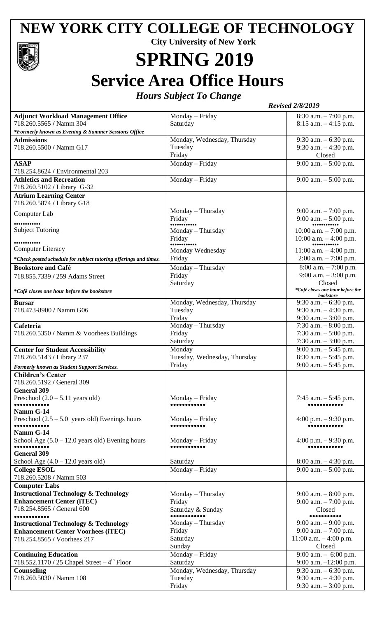## **NEW YORK CITY COLLEGE OF TECHNOLOGY**



## **SPRING 2019 Service Area Office Hours**

*Hours Subject To Change*

|                                                                                      | <b>Revised 2/8/2019</b>      |                                                      |
|--------------------------------------------------------------------------------------|------------------------------|------------------------------------------------------|
| <b>Adjunct Workload Management Office</b><br>718.260.5565 / Namm 304                 | Monday - Friday<br>Saturday  | $8:30$ a.m. $-7:00$ p.m.<br>$8:15$ a.m. $-4:15$ p.m. |
| *Formerly known as Evening & Summer Sessions Office                                  |                              |                                                      |
| <b>Admissions</b>                                                                    | Monday, Wednesday, Thursday  | 9:30 a.m. $-6:30$ p.m.                               |
| 718.260.5500 / Namm G17                                                              | Tuesday                      | 9:30 a.m. $-4:30$ p.m.                               |
|                                                                                      | Friday                       | Closed                                               |
| <b>ASAP</b>                                                                          | Monday - Friday              | 9:00 a.m. $-$ 5:00 p.m.                              |
| 718.254.8624 / Environmental 203                                                     |                              |                                                      |
| <b>Athletics and Recreation</b><br>718.260.5102 / Library G-32                       | Monday - Friday              | 9:00 a.m. $-$ 5:00 p.m.                              |
| <b>Atrium Learning Center</b>                                                        |                              |                                                      |
| 718.260.5874 / Library G18                                                           |                              |                                                      |
|                                                                                      | Monday – Thursday            | 9:00 a.m. $-7:00$ p.m.                               |
| Computer Lab                                                                         | Friday                       | 9:00 a.m. $-$ 5:00 p.m.                              |
|                                                                                      |                              |                                                      |
| <b>Subject Tutoring</b>                                                              | Monday - Thursday            | 10:00 a.m. $-7:00$ p.m.                              |
|                                                                                      | Friday                       | 10:00 a.m. $-4:00$ p.m.                              |
| <b>Computer Literacy</b>                                                             | Monday Wednesday             | $11:00$ a.m. $-4:00$ p.m.                            |
| *Check posted schedule for subject tutoring offerings and times.                     | Friday                       | $2:00$ a.m. $-7:00$ p.m.                             |
| <b>Bookstore and Café</b>                                                            | Monday - Thursday            | $8:00$ a.m. $-7:00$ p.m.                             |
| 718.855.7339 / 259 Adams Street                                                      | Friday                       | 9:00 a.m. $-3:00$ p.m.                               |
|                                                                                      | Saturday                     | Closed                                               |
| *Café closes one hour before the bookstore                                           |                              | *Café closes one hour before the                     |
|                                                                                      |                              | <b>bookstore</b>                                     |
| <b>Bursar</b>                                                                        | Monday, Wednesday, Thursday  | 9:30 a.m. $-6:30$ p.m.                               |
| 718.473-8900 / Namm G06                                                              | Tuesday                      | 9:30 a.m. $-4:30$ p.m.                               |
|                                                                                      | Friday                       | 9:30 $a.m. - 3:00$ p.m.                              |
| Cafeteria                                                                            | Monday - Thursday            | 7:30 a.m. $-8:00$ p.m.                               |
| 718.260.5350 / Namm & Voorhees Buildings                                             | Friday                       | 7:30 a.m. $-$ 5:00 p.m.                              |
|                                                                                      | Saturday                     | 7:30 a.m. $-3:00$ p.m.                               |
| <b>Center for Student Accessibility</b>                                              | Monday                       | 9:00 a.m. $-5:45$ p.m.                               |
| 718.260.5143 / Library 237                                                           | Tuesday, Wednesday, Thursday | $8:30$ a.m. $-5:45$ p.m.                             |
| Formerly known as Student Support Services.                                          | Friday                       | 9:00 a.m. $-5:45$ p.m.                               |
| <b>Children's Center</b>                                                             |                              |                                                      |
| 718.260.5192 / General 309                                                           |                              |                                                      |
| <b>General 309</b>                                                                   |                              |                                                      |
| Preschool $(2.0 - 5.11$ years old)                                                   | Monday - Friday              | 7:45 a.m. $-$ 5:45 p.m.                              |
| Namm G-14                                                                            |                              |                                                      |
| Preschool $(2.5 - 5.0$ years old) Evenings hours                                     | Monday – Friday              | 4:00 p.m. $-9:30$ p.m.                               |
|                                                                                      |                              |                                                      |
| Namm G-14                                                                            |                              |                                                      |
| School Age $(5.0 - 12.0$ years old) Evening hours                                    | Monday – Friday              | 4:00 p.m. $-9:30$ p.m.                               |
|                                                                                      |                              |                                                      |
| <b>General 309</b>                                                                   |                              |                                                      |
| School Age $(4.0 - 12.0$ years old)                                                  | Saturday                     | $8:00$ a.m. $-4:30$ p.m.                             |
| <b>College ESOL</b>                                                                  | Monday - Friday              | 9:00 a.m. $-$ 5:00 p.m.                              |
| 718.260.5208 / Namm 503                                                              |                              |                                                      |
| <b>Computer Labs</b>                                                                 |                              |                                                      |
| <b>Instructional Technology &amp; Technology</b><br><b>Enhancement Center (iTEC)</b> | Monday - Thursday            | $9:00$ a.m. $-8:00$ p.m.                             |
| 718.254.8565 / General 600                                                           | Friday                       | 9:00 a.m. $-7:00$ p.m.                               |
|                                                                                      | Saturday & Sunday            | Closed                                               |
| <b>Instructional Technology &amp; Technology</b>                                     | Monday - Thursday            | $9:00$ a.m. $-9:00$ p.m.                             |
| <b>Enhancement Center Voorhees (iTEC)</b>                                            | Friday                       | 9:00 a.m. $-7:00$ p.m.                               |
| 718.254.8565 / Voorhees 217                                                          | Saturday                     | $11:00$ a.m. $-4:00$ p.m.                            |
|                                                                                      | Sunday                       | Closed                                               |
| <b>Continuing Education</b>                                                          | Monday - Friday              | 9:00 a.m. $-$ 6:00 p.m.                              |
| 718.552.1170 / 25 Chapel Street $-4^{th}$ Floor                                      | Saturday                     | 9:00 a.m. $-12:00$ p.m.                              |
| Counseling                                                                           | Monday, Wednesday, Thursday  | 9:30 a.m. $-6:30$ p.m.                               |
| 718.260.5030 / Namm 108                                                              | Tuesday                      | 9:30 a.m. $-4:30$ p.m.                               |
|                                                                                      | Friday                       | 9:30 a.m. - 3:00 p.m.                                |